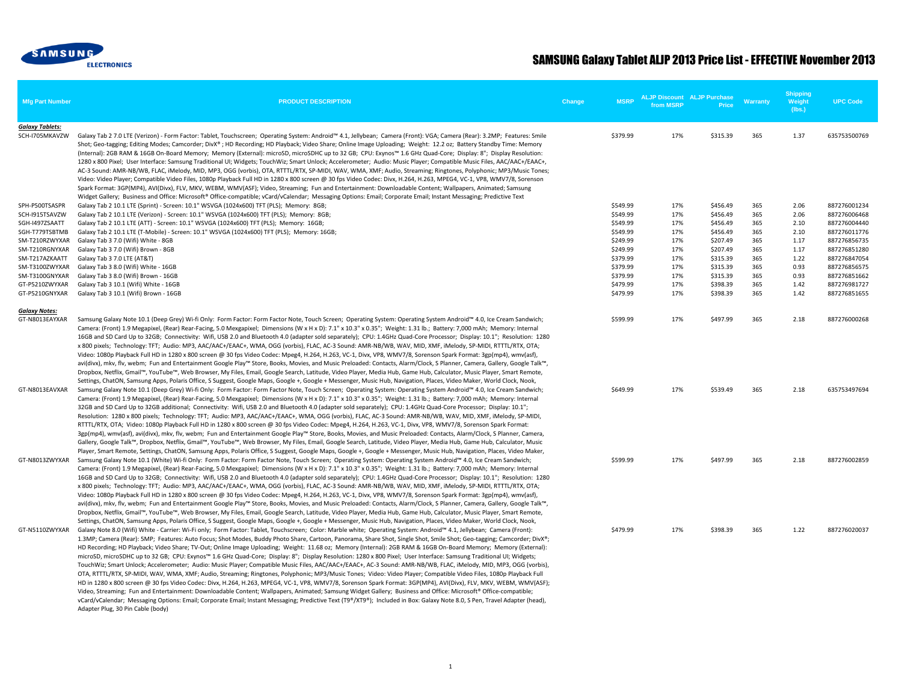

## SAMSUNG Galaxy Tablet ALJP 2013 Price List - EFFECTIVE November 2013

| <b>Mfg Part Number</b>                   | <b>PRODUCT DESCRIPTION</b>                                                                                                                                                                                                                                                                                                                                                                                                                                                                                                                                                                                                                                                                                                                                                                                                                                                                                                                                                                                                                                                                                                                                                                                                                                                                                                                                                                                                                                                                                                                                                                      | Change | <b>MSRP</b> | <b>ALJP Discount ALJP Purchase</b><br>from MSRP | Price    | <b>Warranty</b> | <b>Shipping</b><br>Weight<br>(lbs.) | <b>UPC Code</b> |
|------------------------------------------|-------------------------------------------------------------------------------------------------------------------------------------------------------------------------------------------------------------------------------------------------------------------------------------------------------------------------------------------------------------------------------------------------------------------------------------------------------------------------------------------------------------------------------------------------------------------------------------------------------------------------------------------------------------------------------------------------------------------------------------------------------------------------------------------------------------------------------------------------------------------------------------------------------------------------------------------------------------------------------------------------------------------------------------------------------------------------------------------------------------------------------------------------------------------------------------------------------------------------------------------------------------------------------------------------------------------------------------------------------------------------------------------------------------------------------------------------------------------------------------------------------------------------------------------------------------------------------------------------|--------|-------------|-------------------------------------------------|----------|-----------------|-------------------------------------|-----------------|
| <b>Galaxy Tablets:</b><br>SCH-I705MKAVZW | Galaxy Tab 2 7.0 LTE (Verizon) - Form Factor: Tablet, Touchscreen; Operating System: Android™ 4.1, Jellybean; Camera (Front): VGA; Camera (Rear): 3.2MP; Features: Smile<br>Shot; Geo-tagging; Editing Modes; Camcorder; DivX®; HD Recording; HD Playback; Video Share; Online Image Uploading; Weight: 12.2 oz; Battery Standby Time: Memory<br>(Internal): 2GB RAM & 16GB On-Board Memory; Memory (External): microSD, microSDHC up to 32 GB; CPU: Exynos™ 1.6 GHz Quad-Core; Display: 8"; Display Resolution:<br>1280 x 800 Pixel; User Interface: Samsung Traditional UI; Widgets; TouchWiz; Smart Unlock; Accelerometer; Audio: Music Player; Compatible Music Files, AAC/AAC+/EAAC+,<br>AC-3 Sound: AMR-NB/WB, FLAC, iMelody, MID, MP3, OGG (vorbis), OTA, RTTTL/RTX, SP-MIDI, WAV, WMA, XMF; Audio, Streaming; Ringtones, Polyphonic; MP3/Music Tones;<br>Video: Video Player; Compatible Video Files, 1080p Playback Full HD in 1280 x 800 screen @ 30 fps Video Codec: Divx, H.264, H.263, MPEG4, VC-1, VP8, WMV7/8, Sorenson<br>Spark Format: 3GP(MP4), AVI(Divx), FLV, MKV, WEBM, WMV(ASF); Video, Streaming; Fun and Entertainment: Downloadable Content; Wallpapers, Animated; Samsung<br>Widget Gallery; Business and Office: Microsoft® Office-compatible; vCard/vCalendar; Messaging Options: Email; Corporate Email; Instant Messaging; Predictive Text                                                                                                                                                                                                                        |        | \$379.99    | 17%                                             | \$315.39 | 365             | 1.37                                | 635753500769    |
| SPH-P500TSASPR                           | Galaxy Tab 2 10.1 LTE (Sprint) - Screen: 10.1" WSVGA (1024x600) TFT (PLS); Memory: 8GB;                                                                                                                                                                                                                                                                                                                                                                                                                                                                                                                                                                                                                                                                                                                                                                                                                                                                                                                                                                                                                                                                                                                                                                                                                                                                                                                                                                                                                                                                                                         |        | \$549.99    | 17%                                             | \$456.49 | 365             | 2.06                                | 887276001234    |
| SCH-I915TSAVZW                           | Galaxy Tab 2 10.1 LTE (Verizon) - Screen: 10.1" WSVGA (1024x600) TFT (PLS); Memory: 8GB;                                                                                                                                                                                                                                                                                                                                                                                                                                                                                                                                                                                                                                                                                                                                                                                                                                                                                                                                                                                                                                                                                                                                                                                                                                                                                                                                                                                                                                                                                                        |        | \$549.99    | 17%                                             | \$456.49 | 365             | 2.06                                | 887276006468    |
| SGH-I497ZSAATT                           | Galaxy Tab 2 10.1 LTE (ATT) - Screen: 10.1" WSVGA (1024x600) TFT (PLS); Memory: 16GB;                                                                                                                                                                                                                                                                                                                                                                                                                                                                                                                                                                                                                                                                                                                                                                                                                                                                                                                                                                                                                                                                                                                                                                                                                                                                                                                                                                                                                                                                                                           |        | \$549.99    | 17%                                             | \$456.49 | 365             | 2.10                                | 887276004440    |
| SGH-T779TSBTMB                           | Galaxy Tab 2 10.1 LTE (T-Mobile) - Screen: 10.1" WSVGA (1024x600) TFT (PLS); Memory: 16GB;                                                                                                                                                                                                                                                                                                                                                                                                                                                                                                                                                                                                                                                                                                                                                                                                                                                                                                                                                                                                                                                                                                                                                                                                                                                                                                                                                                                                                                                                                                      |        | \$549.99    | 17%                                             | \$456.49 | 365             | 2.10                                | 887276011776    |
| SM-T210RZWYXAR                           | Galaxy Tab 3 7.0 (Wifi) White - 8GB                                                                                                                                                                                                                                                                                                                                                                                                                                                                                                                                                                                                                                                                                                                                                                                                                                                                                                                                                                                                                                                                                                                                                                                                                                                                                                                                                                                                                                                                                                                                                             |        | \$249.99    | 17%                                             | \$207.49 | 365             | 1.17                                | 887276856735    |
| SM-T210RGNYXAR                           | Galaxy Tab 3 7.0 (Wifi) Brown - 8GB                                                                                                                                                                                                                                                                                                                                                                                                                                                                                                                                                                                                                                                                                                                                                                                                                                                                                                                                                                                                                                                                                                                                                                                                                                                                                                                                                                                                                                                                                                                                                             |        | \$249.99    | 17%                                             | \$207.49 | 365             | 1.17                                | 887276851280    |
| SM-T217AZKAATT                           | Galaxy Tab 3 7.0 LTE (AT&T)                                                                                                                                                                                                                                                                                                                                                                                                                                                                                                                                                                                                                                                                                                                                                                                                                                                                                                                                                                                                                                                                                                                                                                                                                                                                                                                                                                                                                                                                                                                                                                     |        | \$379.99    | 17%                                             | \$315.39 | 365             | 1.22                                | 887276847054    |
| SM-T3100ZWYXAR                           | Galaxy Tab 3 8.0 (Wifi) White - 16GB                                                                                                                                                                                                                                                                                                                                                                                                                                                                                                                                                                                                                                                                                                                                                                                                                                                                                                                                                                                                                                                                                                                                                                                                                                                                                                                                                                                                                                                                                                                                                            |        | \$379.99    | 17%                                             | \$315.39 | 365             | 0.93                                | 887276856575    |
| SM-T3100GNYXAR                           | Galaxy Tab 3 8.0 (Wifi) Brown - 16GB                                                                                                                                                                                                                                                                                                                                                                                                                                                                                                                                                                                                                                                                                                                                                                                                                                                                                                                                                                                                                                                                                                                                                                                                                                                                                                                                                                                                                                                                                                                                                            |        | \$379.99    | 17%                                             | \$315.39 | 365             | 0.93                                | 887276851662    |
| GT-P5210ZWYXAR                           | Galaxy Tab 3 10.1 (Wifi) White - 16GB                                                                                                                                                                                                                                                                                                                                                                                                                                                                                                                                                                                                                                                                                                                                                                                                                                                                                                                                                                                                                                                                                                                                                                                                                                                                                                                                                                                                                                                                                                                                                           |        | \$479.99    | 17%                                             | \$398.39 | 365             | 1.42                                | 887276981727    |
| GT-P5210GNYXAR                           | Galaxy Tab 3 10.1 (Wifi) Brown - 16GB                                                                                                                                                                                                                                                                                                                                                                                                                                                                                                                                                                                                                                                                                                                                                                                                                                                                                                                                                                                                                                                                                                                                                                                                                                                                                                                                                                                                                                                                                                                                                           |        | \$479.99    | 17%                                             | \$398.39 | 365             | 1.42                                | 887276851655    |
| <b>Galaxy Notes:</b>                     |                                                                                                                                                                                                                                                                                                                                                                                                                                                                                                                                                                                                                                                                                                                                                                                                                                                                                                                                                                                                                                                                                                                                                                                                                                                                                                                                                                                                                                                                                                                                                                                                 |        |             |                                                 |          |                 |                                     |                 |
| GT-N8013EAYXAR                           | Samsung Galaxy Note 10.1 (Deep Grey) Wi-fi Only: Form Factor: Form Factor Note, Touch Screen; Operating System: Operating System Android™ 4.0, Ice Cream Sandwich;<br>Camera: (Front) 1.9 Megapixel, (Rear) Rear-Facing, 5.0 Mexgapixel; Dimensions (W x H x D): 7.1" x 10.3" x 0.35"; Weight: 1.31 lb.; Battery: 7,000 mAh; Memory: Internal<br>16GB and SD Card Up to 32GB; Connectivity: Wifi, USB 2.0 and Bluetooth 4.0 (adapter sold separately); CPU: 1.4GHz Quad-Core Processor; Display: 10.1"; Resolution: 1280<br>x 800 pixels; Technology: TFT; Audio: MP3, AAC/AAC+/EAAC+, WMA, OGG (vorbis), FLAC, AC-3 Sound: AMR-NB/WB, WAV, MID, XMF, iMelody, SP-MIDI, RTTTL/RTX, OTA;<br>Video: 1080p Playback Full HD in 1280 x 800 screen @ 30 fps Video Codec: Mpeg4, H.264, H.263, VC-1, Divx, VP8, WMV7/8, Sorenson Spark Format: 3gp(mp4), wmv(asf),<br>avi(divx), mkv, flv, webm; Fun and Entertainment Google Play™ Store, Books, Movies, and Music Preloaded: Contacts, Alarm/Clock, S Planner, Camera, Gallery, Google Talk™,<br>Dropbox, Netflix, Gmail™, YouTube™, Web Browser, My Files, Email, Google Search, Latitude, Video Player, Media Hub, Game Hub, Calculator, Music Player, Smart Remote,<br>Settings, ChatON, Samsung Apps, Polaris Office, S Suggest, Google Maps, Google +, Google + Messenger, Music Hub, Navigation, Places, Video Maker, World Clock, Nook,                                                                                                                                                                                                      |        | \$599.99    | 17%                                             | \$497.99 | 365             | 2.18                                | 887276000268    |
| GT-N8013EAVXAR                           | Samsung Galaxy Note 10.1 (Deep Grey) Wi-fi Only: Form Factor: Form Factor Note, Touch Screen; Operating System: Operating System Android™ 4.0, Ice Cream Sandwich;<br>Camera: (Front) 1.9 Megapixel, (Rear) Rear-Facing, 5.0 Mexgapixel; Dimensions (W x H x D): 7.1" x 10.3" x 0.35"; Weight: 1.31 lb.; Battery: 7,000 mAh; Memory: Internal<br>32GB and SD Card Up to 32GB additional; Connectivity: Wifi, USB 2.0 and Bluetooth 4.0 (adapter sold separately); CPU: 1.4GHz Quad-Core Processor; Display: 10.1";<br>Resolution: 1280 x 800 pixels; Technology: TFT; Audio: MP3, AAC/AAC+/EAAC+, WMA, OGG (vorbis), FLAC, AC-3 Sound: AMR-NB/WB, WAV, MID, XMF, iMelody, SP-MIDI,<br>RTTTL/RTX, OTA; Video: 1080p Playback Full HD in 1280 x 800 screen @ 30 fps Video Codec: Mpeg4, H.264, H.263, VC-1, Divx, VP8, WMV7/8, Sorenson Spark Format:<br>3gp(mp4), wmv(asf), avi(divx), mkv, flv, webm; Fun and Entertainment Google Play™ Store, Books, Movies, and Music Preloaded: Contacts, Alarm/Clock, S Planner, Camera,<br>Gallery, Google Talk™, Dropbox, Netflix, Gmail™, YouTube™, Web Browser, My Files, Email, Google Search, Latitude, Video Player, Media Hub, Game Hub, Calculator, Music<br>Player, Smart Remote, Settings, ChatON, Samsung Apps, Polaris Office, S Suggest, Google Maps, Google +, Google + Messenger, Music Hub, Navigation, Places, Video Maker,                                                                                                                                                                                                              |        | \$649.99    | 17%                                             | \$539.49 | 365             | 2.18                                | 635753497694    |
| GT-N8013ZWYXAR                           | Samsung Galaxy Note 10.1 (White) Wi-fi Only: Form Factor: Form Factor Note, Touch Screen; Operating System: Operating System Android™ 4.0, Ice Cream Sandwich;<br>Camera: (Front) 1.9 Megapixel, (Rear) Rear-Facing, 5.0 Mexgapixel; Dimensions (W x H x D): 7.1" x 10.3" x 0.35"; Weight: 1.31 lb.; Battery: 7,000 mAh; Memory: Internal<br>16GB and SD Card Up to 32GB; Connectivity: Wifi, USB 2.0 and Bluetooth 4.0 (adapter sold separately); CPU: 1.4GHz Quad-Core Processor; Display: 10.1"; Resolution: 1280<br>x 800 pixels; Technology: TFT; Audio: MP3, AAC/AAC+/EAAC+, WMA, OGG (vorbis), FLAC, AC-3 Sound: AMR-NB/WB, WAV, MID, XMF, iMelody, SP-MIDI, RTTTL/RTX, OTA;<br>Video: 1080p Playback Full HD in 1280 x 800 screen @ 30 fps Video Codec: Mpeg4, H.264, H.263, VC-1, Divx, VP8, WMV7/8, Sorenson Spark Format: 3gp(mp4), wmv(asf),<br>avi(divx), mkv, flv, webm; Fun and Entertainment Google Play™ Store, Books, Movies, and Music Preloaded: Contacts, Alarm/Clock, S Planner, Camera, Gallery, Google Talk™,<br>Dropbox, Netflix, Gmail™, YouTube™, Web Browser, My Files, Email, Google Search, Latitude, Video Player, Media Hub, Game Hub, Calculator, Music Player, Smart Remote,<br>Settings, ChatON, Samsung Apps, Polaris Office, S Suggest, Google Maps, Google +, Google + Messenger, Music Hub, Navigation, Places, Video Maker, World Clock, Nook,                                                                                                                                                                                                          |        | \$599.99    | 17%                                             | \$497.99 | 365             | 2.18                                | 887276002859    |
| GT-N5110ZWYXAR                           | Galaxy Note 8.0 (Wifi) White - Carrier: Wi-Fi only; Form Factor: Tablet, Touchscreen; Color: Marble white; Operating System: Android™ 4.1, Jellybean; Camera (Front):<br>1.3MP; Camera (Rear): 5MP; Features: Auto Focus; Shot Modes, Buddy Photo Share, Cartoon, Panorama, Share Shot, Single Shot, Smile Shot; Geo-tagging; Camcorder; DivX®;<br>HD Recording; HD Playback; Video Share; TV-Out; Online Image Uploading; Weight: 11.68 oz; Memory (Internal): 2GB RAM & 16GB On-Board Memory; Memory (External):<br>microSD, microSDHC up to 32 GB; CPU: Exynos™ 1.6 GHz Quad-Core; Display: 8"; Display Resolution: 1280 x 800 Pixel; User Interface: Samsung Traditional UI; Widgets;<br>TouchWiz; Smart Unlock; Accelerometer; Audio: Music Player; Compatible Music Files, AAC/AAC+/EAAC+, AC-3 Sound: AMR-NB/WB, FLAC, iMelody, MID, MP3, OGG (vorbis),<br>OTA, RTTTL/RTX, SP-MIDI, WAV, WMA, XMF; Audio, Streaming; Ringtones, Polyphonic; MP3/Music Tones; Video: Video Player; Compatible Video Files, 1080p Playback Full<br>HD in 1280 x 800 screen @ 30 fps Video Codec: Divx, H.264, H.263, MPEG4, VC-1, VP8, WMV7/8, Sorenson Spark Format: 3GP(MP4), AVI(Divx), FLV, MKV, WEBM, WMV(ASF);<br>Video, Streaming; Fun and Entertainment: Downloadable Content; Wallpapers, Animated; Samsung Widget Gallery; Business and Office: Microsoft® Office-compatible;<br>vCard/vCalendar; Messaging Options: Email; Corporate Email; Instant Messaging; Predictive Text (T9®/XT9®); Included in Box: Galaxy Note 8.0, S Pen, Travel Adapter (head),<br>Adapter Plug, 30 Pin Cable (body) |        | \$479.99    | 17%                                             | \$398.39 | 365             | 1.22                                | 887276020037    |